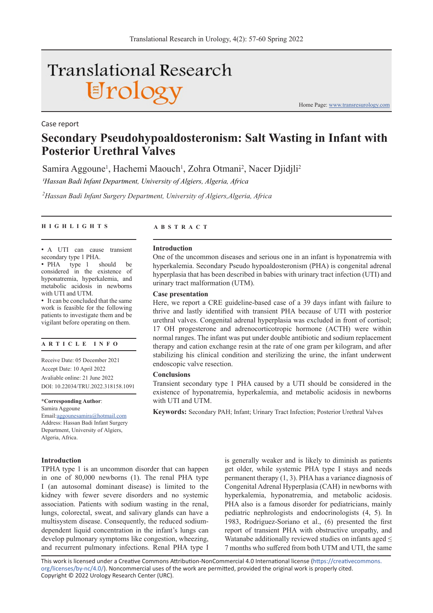# **Translational Research** Urology

Case report

**Secondary Pseudohypoaldosteronism: Salt Wasting in Infant with Posterior Urethral Valves**

Samira Aggoune<sup>1</sup>, Hachemi Maouch<sup>1</sup>, Zohra Otmani<sup>2</sup>, Nacer Djidjli<sup>2</sup> *1Hassan Badi Infant Department, University of Algiers, Algeria, Africa*

*2 Hassan Badi Infant Surgery Department, University of Algiers,Algeria, Africa*

# **HIGHLIGHTS ABSTRACT**

• A UTI can cause transient secondary type 1 PHA.

• PHA type 1 should be considered in the existence of hyponatremia, hyperkalemia, and metabolic acidosis in newborns with UTI and UTM.

• It can be concluded that the same work is feasible for the following patients to investigate them and be vigilant before operating on them.

# **ARTICLE INFO**

Receive Date: 05 December 2021 Accept Date: 10 April 2022 Avaliable online: 21 June 2022 DOI: 10.22034/TRU.2022.318158.1091

**\*Corresponding Author**:

Samira Aggoune

Email:aggounesamira@hotmail.com Address: Hassan Badi Infant Surgery Department, University of Algiers, Algeria, Africa.

# **Introduction**

TPHA type 1 is an uncommon disorder that can happen in one of 80,000 newborns (1). The renal PHA type I (an autosomal dominant disease) is limited to the kidney with fewer severe disorders and no systemic association. Patients with sodium wasting in the renal, lungs, colorectal, sweat, and salivary glands can have a multisystem disease. Consequently, the reduced sodiumdependent liquid concentration in the infant's lungs can develop pulmonary symptoms like congestion, wheezing, and recurrent pulmonary infections. Renal PHA type I

is generally weaker and is likely to diminish as patients get older, while systemic PHA type I stays and needs permanent therapy (1, 3). PHA has a variance diagnosis of Congenital Adrenal Hyperplasia (CAH) in newborns with hyperkalemia, hyponatremia, and metabolic acidosis. PHA also is a famous disorder for pediatricians, mainly pediatric nephrologists and endocrinologists (4, 5). In 1983, Rodriguez-Soriano et al., (6) presented the first report of transient PHA with obstructive uropathy, and Watanabe additionally reviewed studies on infants aged  $\leq$ 7 months who suffered from both UTM and UTI, the same

This work is licensed under a Creative Commons Attribution-NonCommercial 4.0 International license (https://creativecommons. org/licenses/by-nc/4.0/). Noncommercial uses of the work are permitted, provided the original work is properly cited. Copyright © 2022 Urology Research Center (URC).

#### **Introduction**

One of the uncommon diseases and serious one in an infant is hyponatremia with hyperkalemia. Secondary Pseudo hypoaldosteronism (PHA) is congenital adrenal hyperplasia that has been described in babies with urinary tract infection (UTI) and urinary tract malformation (UTM).

Home Page: www.transresurology.com

# **Case presentation**

Here, we report a CRE guideline-based case of a 39 days infant with failure to thrive and lastly identified with transient PHA because of UTI with posterior urethral valves. Congenital adrenal hyperplasia was excluded in front of cortisol; 17 OH progesterone and adrenocorticotropic hormone (ACTH) were within normal ranges. The infant was put under double antibiotic and sodium replacement therapy and cation exchange resin at the rate of one gram per kilogram, and after stabilizing his clinical condition and sterilizing the urine, the infant underwent endoscopic valve resection.

#### **Conclusions**

Transient secondary type 1 PHA caused by a UTI should be considered in the existence of hyponatremia, hyperkalemia, and metabolic acidosis in newborns with UTI and UTM.

**Keywords:** Secondary PAH; Infant; Urinary Tract Infection; Posterior Urethral Valves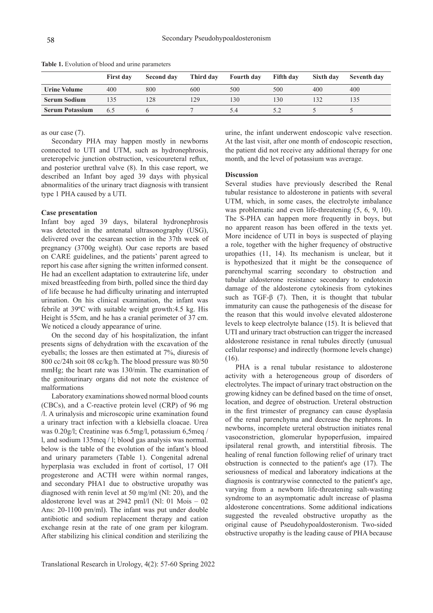|                        | <b>First day</b> | Second day | Third day | <b>Fourth day</b> | <b>Fifth day</b> | Sixth day | <b>Seventh day</b> |
|------------------------|------------------|------------|-----------|-------------------|------------------|-----------|--------------------|
| <b>Urine Volume</b>    | 400              | 800        | 600       | 500               | 500              | 400       | 400                |
| <b>Serum Sodium</b>    |                  | 28         | 29        | 130               | 130              | 132       |                    |
| <b>Serum Potassium</b> | 6.5              |            |           | 5.4               |                  |           |                    |

**Table 1.** Evolution of blood and urine parameters

as our case (7).

Secondary PHA may happen mostly in newborns connected to UTI and UTM, such as hydronephrosis, ureteropelvic junction obstruction, vesicoureteral reflux, and posterior urethral valve (8). In this case report, we described an Infant boy aged 39 days with physical abnormalities of the urinary tract diagnosis with transient type 1 PHA caused by a UTI.

### **Case presentation**

Infant boy aged 39 days, bilateral hydronephrosis was detected in the antenatal ultrasonography (USG), delivered over the cesarean section in the 37th week of pregnancy (3700g weight). Our case reports are based on CARE guidelines, and the patients' parent agreed to report his case after signing the written informed consent. He had an excellent adaptation to extrauterine life, under mixed breastfeeding from birth, polled since the third day of life because he had difficulty urinating and interrupted urination. On his clinical examination, the infant was febrile at 39ºC with suitable weight growth:4.5 kg. His Height is 55cm, and he has a cranial perimeter of 37 cm. We noticed a cloudy appearance of urine.

On the second day of his hospitalization, the infant presents signs of dehydration with the excavation of the eyeballs; the losses are then estimated at 7%, diuresis of 800 cc/24h soit 08 cc/kg/h. The blood pressure was 80/50 mmHg; the heart rate was 130/min. The examination of the genitourinary organs did not note the existence of malformations

Laboratory examinations showed normal blood counts (CBCs), and a C-reactive protein level (CRP) of 96 mg /l. A urinalysis and microscopic urine examination found a urinary tract infection with a klebsiella cloacae. Urea was 0.20g/l; Creatinine was 6.5mg/l, potassium 6,5meq / l, and sodium 135meq / l; blood gas analysis was normal. below is the table of the evolution of the infant's blood and urinary parameters (Table 1). Congenital adrenal hyperplasia was excluded in front of cortisol, 17 OH progesterone and ACTH were within normal ranges, and secondary PHA1 due to obstructive uropathy was diagnosed with renin level at 50 mg/ml (Nl: 20), and the aldosterone level was at 2942 pml/l (Nl: 01 Mois – 02 Ans: 20-1100 pm/ml). The infant was put under double antibiotic and sodium replacement therapy and cation exchange resin at the rate of one gram per kilogram. After stabilizing his clinical condition and sterilizing the

urine, the infant underwent endoscopic valve resection. At the last visit, after one month of endoscopic resection, the patient did not receive any additional therapy for one month, and the level of potassium was average.

#### **Discussion**

Several studies have previously described the Renal tubular resistance to aldosterone in patients with several UTM, which, in some cases, the electrolyte imbalance was problematic and even life-threatening (5, 6, 9, 10). The S-PHA can happen more frequently in boys, but no apparent reason has been offered in the texts yet. More incidence of UTI in boys is suspected of playing a role, together with the higher frequency of obstructive uropathies (11, 14). Its mechanism is unclear, but it is hypothesized that it might be the consequence of parenchymal scarring secondary to obstruction and tubular aldosterone resistance secondary to endotoxin damage of the aldosterone cytokinesis from cytokines such as TGF-β (7). Then, it is thought that tubular immaturity can cause the pathogenesis of the disease for the reason that this would involve elevated aldosterone levels to keep electrolyte balance (15). It is believed that UTI and urinary tract obstruction can trigger the increased aldosterone resistance in renal tubules directly (unusual cellular response) and indirectly (hormone levels change) (16).

PHA is a renal tubular resistance to aldosterone activity with a heterogeneous group of disorders of electrolytes. The impact of urinary tract obstruction on the growing kidney can be defined based on the time of onset, location, and degree of obstruction. Ureteral obstruction in the first trimester of pregnancy can cause dysplasia of the renal parenchyma and decrease the nephrons. In newborns, incomplete ureteral obstruction initiates renal vasoconstriction, glomerular hypoperfusion, impaired ipsilateral renal growth, and interstitial fibrosis. The healing of renal function following relief of urinary tract obstruction is connected to the patient's age (17). The seriousness of medical and laboratory indications at the diagnosis is contrarywise connected to the patient's age, varying from a newborn life-threatening salt-wasting syndrome to an asymptomatic adult increase of plasma aldosterone concentrations. Some additional indications suggested the revealed obstructive uropathy as the original cause of Pseudohypoaldosteronism. Two-sided obstructive uropathy is the leading cause of PHA because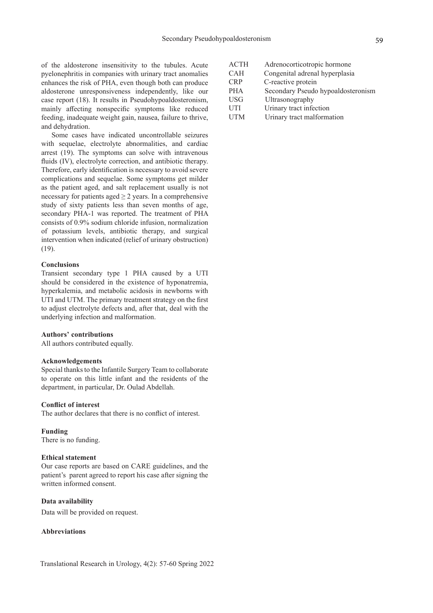of the aldosterone insensitivity to the tubules. Acute pyelonephritis in companies with urinary tract anomalies enhances the risk of PHA, even though both can produce aldosterone unresponsiveness independently, like our case report (18). It results in Pseudohypoaldosteronism, mainly affecting nonspecific symptoms like reduced feeding, inadequate weight gain, nausea, failure to thrive, and dehydration.

Some cases have indicated uncontrollable seizures with sequelae, electrolyte abnormalities, and cardiac arrest (19). The symptoms can solve with intravenous fluids (IV), electrolyte correction, and antibiotic therapy. Therefore, early identification is necessary to avoid severe complications and sequelae. Some symptoms get milder as the patient aged, and salt replacement usually is not necessary for patients aged  $\geq 2$  years. In a comprehensive study of sixty patients less than seven months of age, secondary PHA-1 was reported. The treatment of PHA consists of 0.9% sodium chloride infusion, normalization of potassium levels, antibiotic therapy, and surgical intervention when indicated (relief of urinary obstruction) (19).

# **Conclusions**

Transient secondary type 1 PHA caused by a UTI should be considered in the existence of hyponatremia, hyperkalemia, and metabolic acidosis in newborns with UTI and UTM. The primary treatment strategy on the first to adjust electrolyte defects and, after that, deal with the underlying infection and malformation.

#### **Authors' contributions**

All authors contributed equally.

#### **Acknowledgements**

Special thanks to the Infantile Surgery Team to collaborate to operate on this little infant and the residents of the department, in particular, Dr. Oulad Abdellah.

# **Conflict of interest**

The author declares that there is no conflict of interest.

#### **Funding**

There is no funding.

# **Ethical statement**

Our case reports are based on CARE guidelines, and the patient's parent agreed to report his case after signing the written informed consent.

# **Data availability**

Data will be provided on request.

# **Abbreviations**

| <b>ACTH</b> | Adrenocorticotropic hormone        |  |
|-------------|------------------------------------|--|
| <b>CAH</b>  | Congenital adrenal hyperplasia     |  |
| <b>CRP</b>  | C-reactive protein                 |  |
| <b>PHA</b>  | Secondary Pseudo hypoaldosteronism |  |
| <b>USG</b>  | Ultrasonography                    |  |
| <b>UTI</b>  | Urinary tract infection            |  |
| <b>UTM</b>  | Urinary tract malformation         |  |